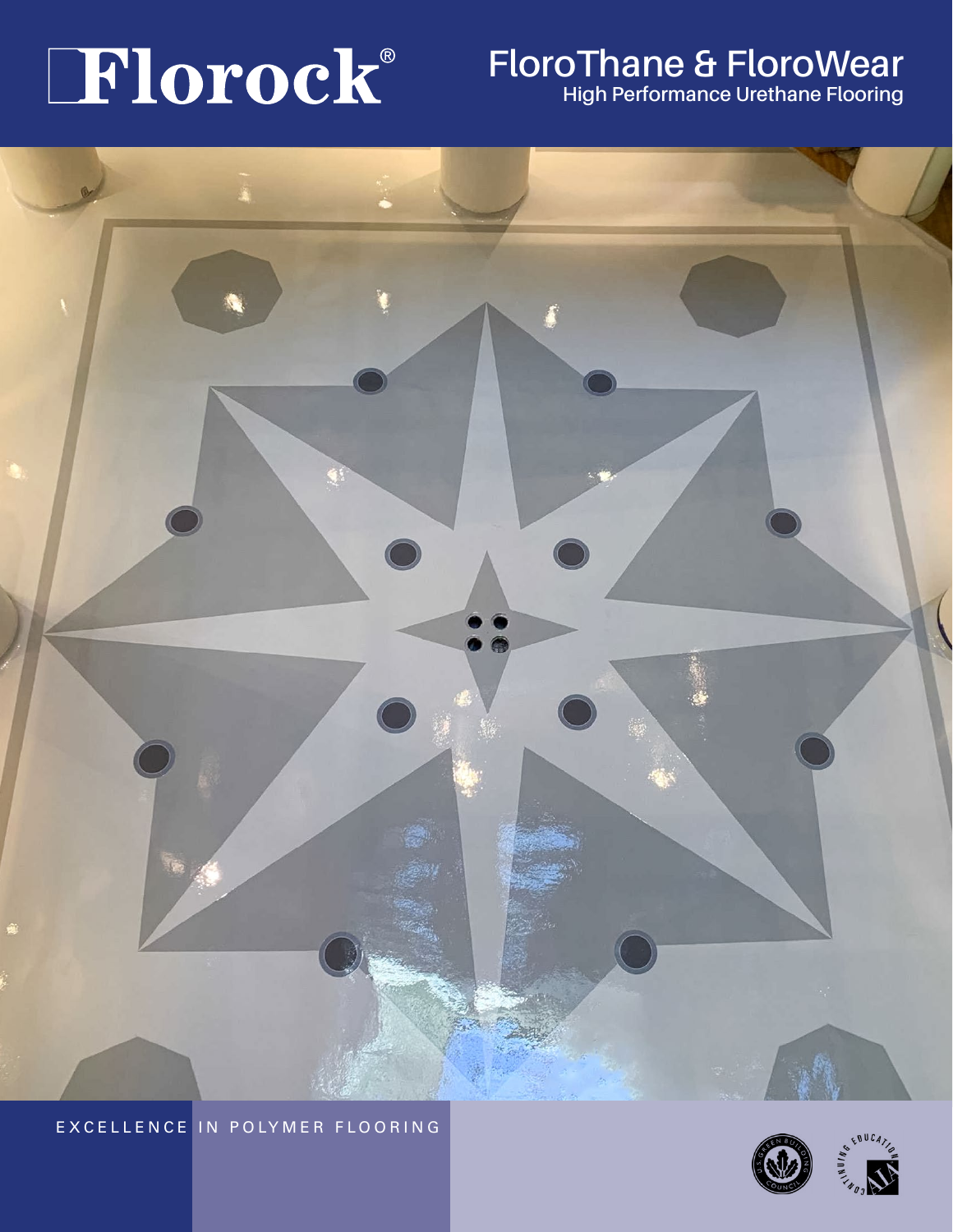# $\bf{TI}$  **Or OCK** FloroThane & FloroWear



EXCELLENCE IN POLYMER FLOORING

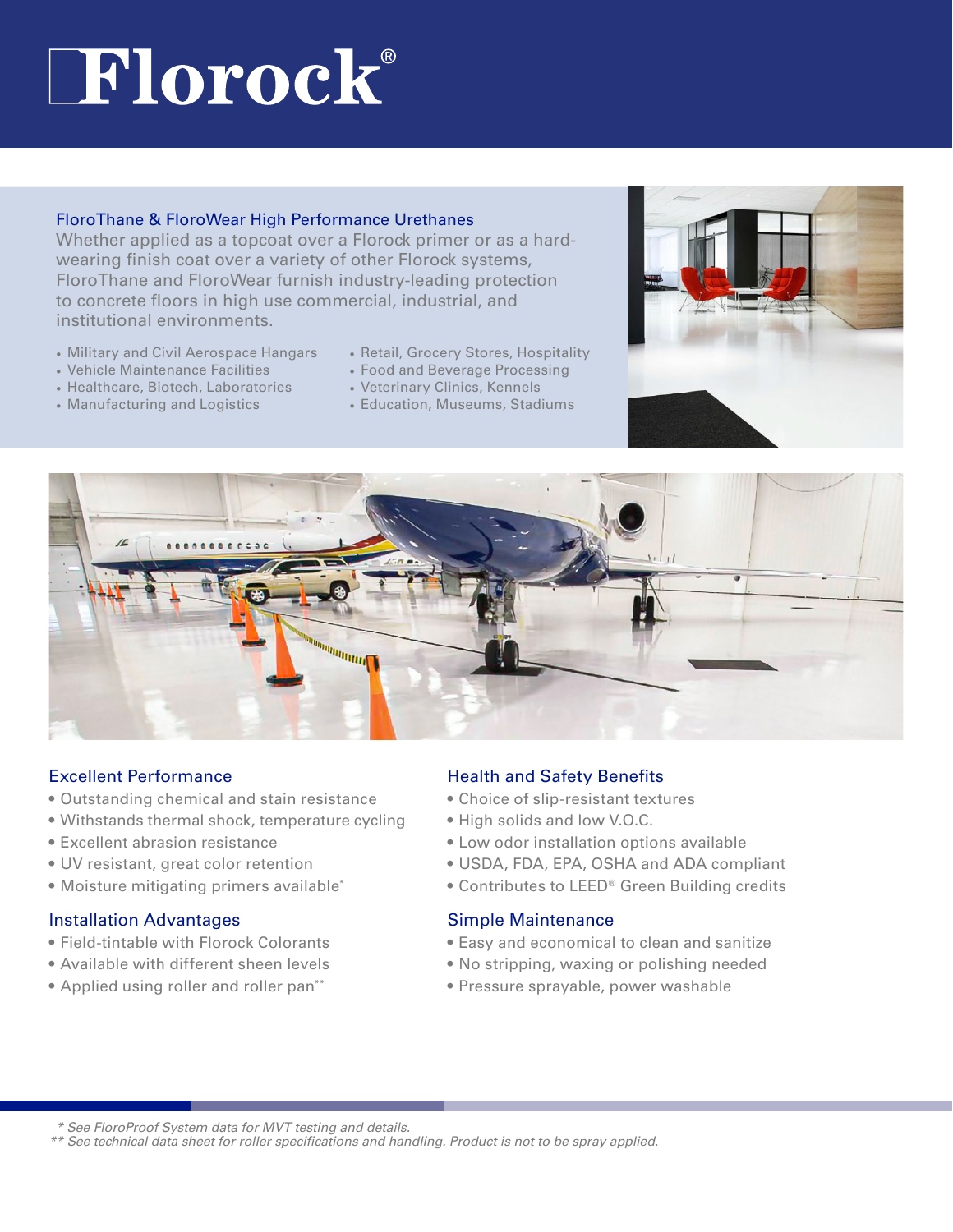# **Florock**®

#### FloroThane & FloroWear High Performance Urethanes

Whether applied as a topcoat over a Florock primer or as a hardwearing finish coat over a variety of other Florock systems, FloroThane and FloroWear furnish industry-leading protection to concrete floors in high use commercial, industrial, and institutional environments.

- Military and Civil Aerospace Hangars
- Vehicle Maintenance Facilities
- Healthcare, Biotech, Laboratories
- Manufacturing and Logistics
- Retail, Grocery Stores, Hospitality
- Food and Beverage Processing
- Veterinary Clinics, Kennels
- Education, Museums, Stadiums





#### Excellent Performance

- Outstanding chemical and stain resistance
- Withstands thermal shock, temperature cycling
- Excellent abrasion resistance
- UV resistant, great color retention
- Moisture mitigating primers available\*

#### Installation Advantages

- Field-tintable with Florock Colorants
- Available with different sheen levels
- Applied using roller and roller pan\*\*

#### Health and Safety Benefits

- Choice of slip-resistant textures
- High solids and low V.O.C.
- Low odor installation options available
- USDA, FDA, EPA, OSHA and ADA compliant
- Contributes to LEED® Green Building credits

#### Simple Maintenance

- Easy and economical to clean and sanitize
- No stripping, waxing or polishing needed
- Pressure sprayable, power washable

 *\* See FloroProof System data for MVT testing and details.*

*\*\* See technical data sheet for roller specifications and handling. Product is not to be spray applied.*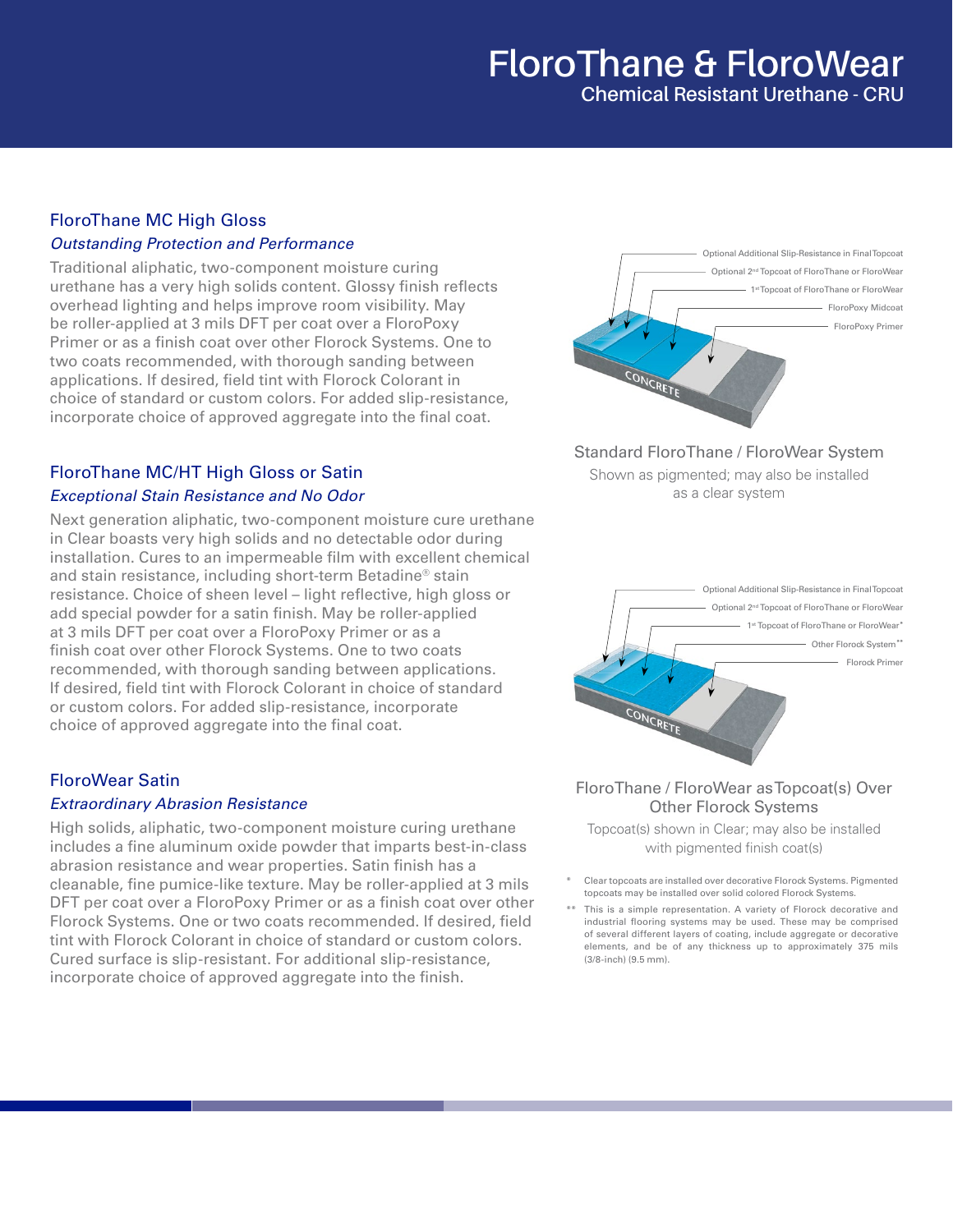## **FloroThane & FloroWear Chemical Resistant Urethane - CRU**

#### FloroThane MC High Gloss *Outstanding Protection and Performance*

Traditional aliphatic, two-component moisture curing urethane has a very high solids content. Glossy finish reflects overhead lighting and helps improve room visibility. May be roller-applied at 3 mils DFT per coat over a FloroPoxy Primer or as a finish coat over other Florock Systems. One to two coats recommended, with thorough sanding between applications. If desired, field tint with Florock Colorant in choice of standard or custom colors. For added slip-resistance, incorporate choice of approved aggregate into the final coat.

### FloroThane MC/HT High Gloss or Satin

#### *Exceptional Stain Resistance and No Odor*

Next generation aliphatic, two-component moisture cure urethane in Clear boasts very high solids and no detectable odor during installation. Cures to an impermeable film with excellent chemical and stain resistance, including short-term Betadine® stain resistance. Choice of sheen level – light reflective, high gloss or add special powder for a satin finish. May be roller-applied at 3 mils DFT per coat over a FloroPoxy Primer or as a finish coat over other Florock Systems. One to two coats recommended, with thorough sanding between applications. If desired, field tint with Florock Colorant in choice of standard or custom colors. For added slip-resistance, incorporate choice of approved aggregate into the final coat.

### FloroWear Satin

#### *Extraordinary Abrasion Resistance*

High solids, aliphatic, two-component moisture curing urethane includes a fine aluminum oxide powder that imparts best-in-class abrasion resistance and wear properties. Satin finish has a cleanable, fine pumice-like texture. May be roller-applied at 3 mils DFT per coat over a FloroPoxy Primer or as a finish coat over other Florock Systems. One or two coats recommended. If desired, field tint with Florock Colorant in choice of standard or custom colors. Cured surface is slip-resistant. For additional slip-resistance, incorporate choice of approved aggregate into the finish.



Standard FloroThane / FloroWear System

Shown as pigmented; may also be installed as a clear system



#### FloroThane / FloroWear as Topcoat(s) Over Other Florock Systems

Topcoat(s) shown in Clear; may also be installed with pigmented finish coat(s)

- Clear topcoats are installed over decorative Florock Systems. Pigmented topcoats may be installed over solid colored Florock Systems.
- \*\* This is a simple representation. A variety of Florock decorative and industrial flooring systems may be used. These may be comprised of several different layers of coating, include aggregate or decorative elements, and be of any thickness up to approximately 375 mils (3/8-inch) (9.5 mm).